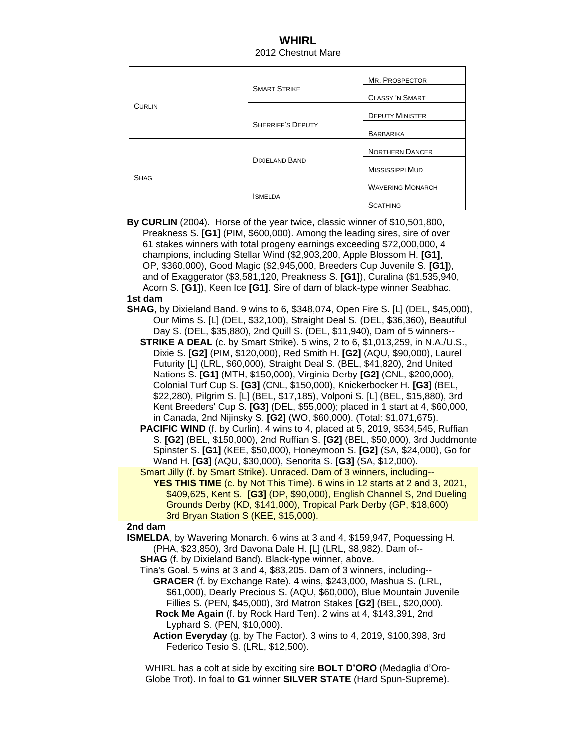## **WHIRL** 2012 Chestnut Mare

| <b>CURLIN</b> | <b>SMART STRIKE</b>      | MR. PROSPECTOR          |
|---------------|--------------------------|-------------------------|
|               |                          | <b>CLASSY 'N SMART</b>  |
|               |                          | <b>DEPUTY MINISTER</b>  |
|               | <b>SHERRIFF'S DEPUTY</b> | <b>BARBARIKA</b>        |
| <b>SHAG</b>   | <b>DIXIELAND BAND</b>    | <b>NORTHERN DANCER</b>  |
|               |                          | <b>MISSISSIPPI MUD</b>  |
|               |                          | <b>WAVERING MONARCH</b> |
|               | <b>ISMELDA</b>           | <b>SCATHING</b>         |

 **By CURLIN** (2004). Horse of the year twice, classic winner of \$10,501,800, Preakness S. **[G1]** (PIM, \$600,000). Among the leading sires, sire of over 61 stakes winners with total progeny earnings exceeding \$72,000,000, 4 champions, including Stellar Wind (\$2,903,200, Apple Blossom H. **[G1]**, OP, \$360,000), Good Magic (\$2,945,000, Breeders Cup Juvenile S. **[G1]**), and of Exaggerator (\$3,581,120, Preakness S. **[G1]**), Curalina (\$1,535,940, Acorn S. **[G1]**), Keen Ice **[G1]**. Sire of dam of black-type winner Seabhac. **1st dam**

- **SHAG**, by Dixieland Band. 9 wins to 6, \$348,074, Open Fire S. [L] (DEL, \$45,000), Our Mims S. [L] (DEL, \$32,100), Straight Deal S. (DEL, \$36,360), Beautiful Day S. (DEL, \$35,880), 2nd Quill S. (DEL, \$11,940), Dam of 5 winners--
	- **STRIKE A DEAL** (c. by Smart Strike). 5 wins, 2 to 6, \$1,013,259, in N.A./U.S., Dixie S. **[G2]** (PIM, \$120,000), Red Smith H. **[G2]** (AQU, \$90,000), Laurel Futurity [L] (LRL, \$60,000), Straight Deal S. (BEL, \$41,820), 2nd United Nations S. **[G1]** (MTH, \$150,000), Virginia Derby **[G2]** (CNL, \$200,000), Colonial Turf Cup S. **[G3]** (CNL, \$150,000), Knickerbocker H. **[G3]** (BEL, \$22,280), Pilgrim S. [L] (BEL, \$17,185), Volponi S. [L] (BEL, \$15,880), 3rd Kent Breeders' Cup S. **[G3]** (DEL, \$55,000); placed in 1 start at 4, \$60,000, in Canada, 2nd Nijinsky S. **[G2]** (WO, \$60,000). (Total: \$1,071,675).
	- **PACIFIC WIND** (f. by Curlin). 4 wins to 4, placed at 5, 2019, \$534,545, Ruffian S. **[G2]** (BEL, \$150,000), 2nd Ruffian S. **[G2]** (BEL, \$50,000), 3rd Juddmonte Spinster S. **[G1]** (KEE, \$50,000), Honeymoon S. **[G2]** (SA, \$24,000), Go for Wand H. **[G3]** (AQU, \$30,000), Senorita S. **[G3]** (SA, \$12,000).
	- Smart Jilly (f. by Smart Strike). Unraced. Dam of 3 winners, including-- **YES THIS TIME** (c. by Not This Time). 6 wins in 12 starts at 2 and 3, 2021, \$409,625, Kent S. **[G3]** (DP, \$90,000), English Channel S, 2nd Dueling Grounds Derby (KD, \$141,000), Tropical Park Derby (GP, \$18,600) 3rd Bryan Station S (KEE, \$15,000).

## **2nd dam**

- **ISMELDA**, by Wavering Monarch. 6 wins at 3 and 4, \$159,947, Poquessing H. (PHA, \$23,850), 3rd Davona Dale H. [L] (LRL, \$8,982). Dam of--
	- **SHAG** (f. by Dixieland Band). Black-type winner, above.
	- Tina's Goal. 5 wins at 3 and 4, \$83,205. Dam of 3 winners, including-- **GRACER** (f. by Exchange Rate). 4 wins, \$243,000, Mashua S. (LRL, \$61,000), Dearly Precious S. (AQU, \$60,000), Blue Mountain Juvenile Fillies S. (PEN, \$45,000), 3rd Matron Stakes **[G2]** (BEL, \$20,000). **Rock Me Again** (f. by Rock Hard Ten). 2 wins at 4, \$143,391, 2nd
		- Lyphard S. (PEN, \$10,000).
		- **Action Everyday** (g. by The Factor). 3 wins to 4, 2019, \$100,398, 3rd Federico Tesio S. (LRL, \$12,500).

 WHIRL has a colt at side by exciting sire **BOLT D'ORO** (Medaglia d'Oro- Globe Trot). In foal to **G1** winner **SILVER STATE** (Hard Spun-Supreme).